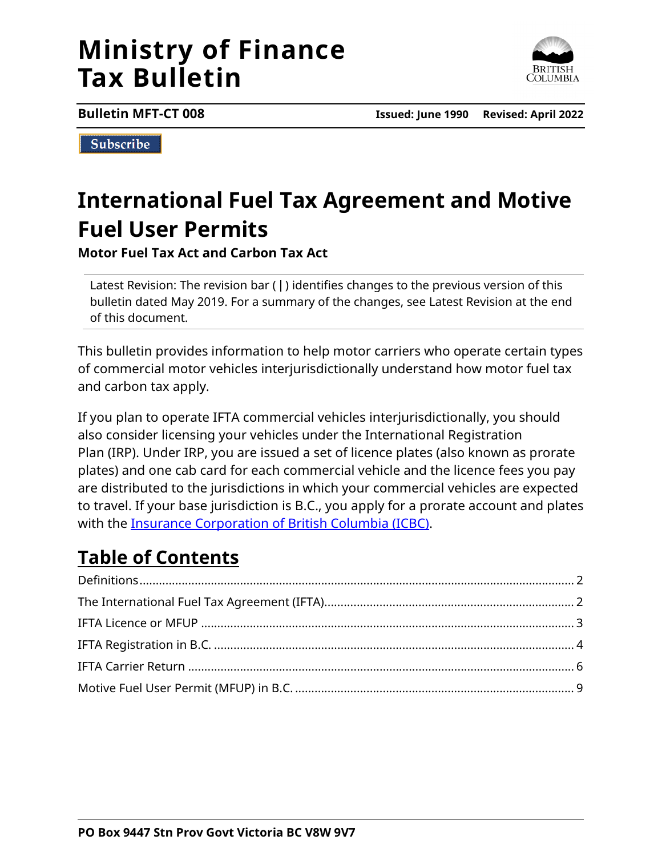# **Ministry of Finance Tax Bulletin**



**Bulletin MFT-CT 008 Issued: June 1990 Revised: April 2022**

Subscribe

# **International Fuel Tax Agreement and Motive Fuel User Permits**

**Motor Fuel Tax Act and Carbon Tax Act**

Latest Revision: The revision bar (|) identifies changes to the previous version of this bulletin dated May 2019. For a summary of the changes, see Latest Revision at the end of this document.

This bulletin provides information to help motor carriers who operate certain types of commercial motor vehicles interjurisdictionally understand how motor fuel tax and carbon tax apply.

If you plan to operate IFTA commercial vehicles interjurisdictionally, you should also consider licensing your vehicles under the International Registration Plan (IRP). Under IRP, you are issued a set of licence plates (also known as prorate plates) and one cab card for each commercial vehicle and the licence fees you pay are distributed to the jurisdictions in which your commercial vehicles are expected to travel. If your base jurisdiction is B.C., you apply for a prorate account and plates with the [Insurance Corporation of British Columbia \(ICBC\).](https://www.icbc.com/vehicle-registration/licence-plates/Pages/Prorate-plates-for-commercial-vehicles.aspx)

## **Table of Contents**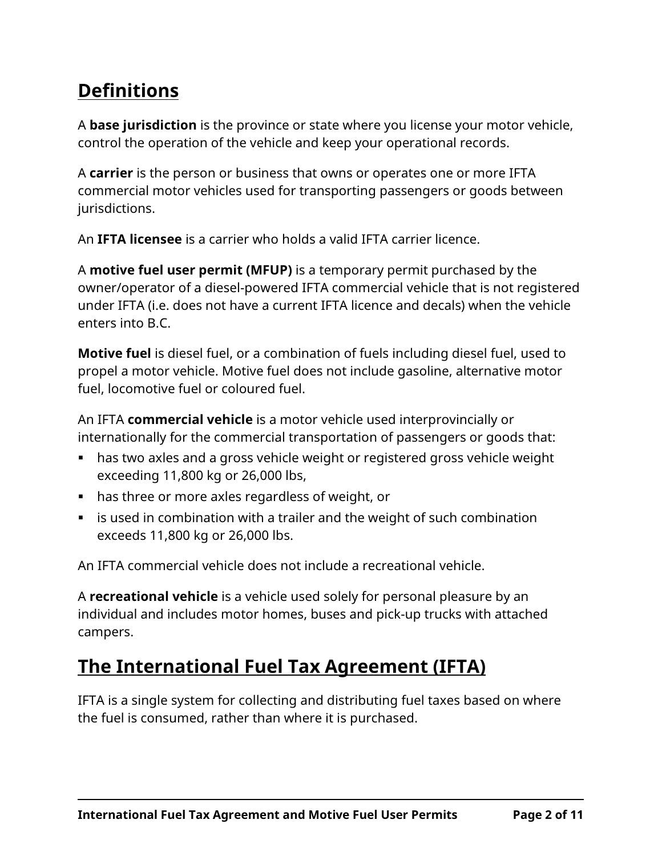## <span id="page-1-0"></span>**Definitions**

A **base jurisdiction** is the province or state where you license your motor vehicle, control the operation of the vehicle and keep your operational records.

A **carrier** is the person or business that owns or operates one or more IFTA commercial motor vehicles used for transporting passengers or goods between jurisdictions.

An **IFTA licensee** is a carrier who holds a valid IFTA carrier licence.

A **motive fuel user permit (MFUP)** is a temporary permit purchased by the owner/operator of a diesel-powered IFTA commercial vehicle that is not registered under IFTA (i.e. does not have a current IFTA licence and decals) when the vehicle enters into B.C.

**Motive fuel** is diesel fuel, or a combination of fuels including diesel fuel, used to propel a motor vehicle. Motive fuel does not include gasoline, alternative motor fuel, locomotive fuel or coloured fuel.

An IFTA **commercial vehicle** is a motor vehicle used interprovincially or internationally for the commercial transportation of passengers or goods that:

- has two axles and a gross vehicle weight or registered gross vehicle weight exceeding 11,800 kg or 26,000 lbs,
- has three or more axles regardless of weight, or
- $\blacksquare$  is used in combination with a trailer and the weight of such combination exceeds 11,800 kg or 26,000 lbs.

An IFTA commercial vehicle does not include a recreational vehicle.

A **recreational vehicle** is a vehicle used solely for personal pleasure by an individual and includes motor homes, buses and pick-up trucks with attached campers.

## <span id="page-1-1"></span>**The International Fuel Tax Agreement (IFTA)**

IFTA is a single system for collecting and distributing fuel taxes based on where the fuel is consumed, rather than where it is purchased.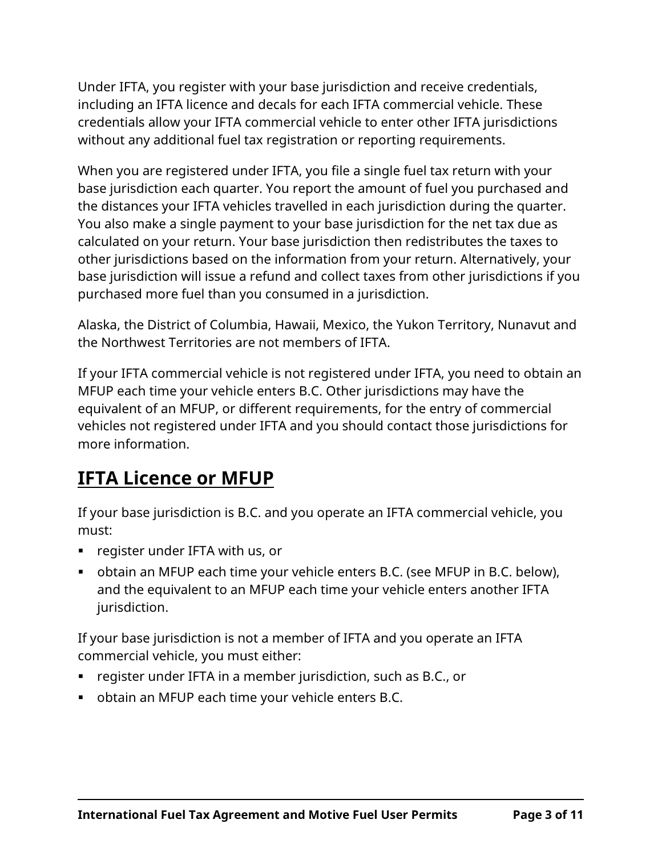Under IFTA, you register with your base jurisdiction and receive credentials, including an IFTA licence and decals for each IFTA commercial vehicle. These credentials allow your IFTA commercial vehicle to enter other IFTA jurisdictions without any additional fuel tax registration or reporting requirements.

When you are registered under IFTA, you file a single fuel tax return with your base jurisdiction each quarter. You report the amount of fuel you purchased and the distances your IFTA vehicles travelled in each jurisdiction during the quarter. You also make a single payment to your base jurisdiction for the net tax due as calculated on your return. Your base jurisdiction then redistributes the taxes to other jurisdictions based on the information from your return. Alternatively, your base jurisdiction will issue a refund and collect taxes from other jurisdictions if you purchased more fuel than you consumed in a jurisdiction.

Alaska, the District of Columbia, Hawaii, Mexico, the Yukon Territory, Nunavut and the Northwest Territories are not members of IFTA.

If your IFTA commercial vehicle is not registered under IFTA, you need to obtain an MFUP each time your vehicle enters B.C. Other jurisdictions may have the equivalent of an MFUP, or different requirements, for the entry of commercial vehicles not registered under IFTA and you should contact those jurisdictions for more information.

## <span id="page-2-0"></span>**IFTA Licence or MFUP**

If your base jurisdiction is B.C. and you operate an IFTA commercial vehicle, you must:

- register under IFTA with us, or
- obtain an MFUP each time your vehicle enters B.C. (see MFUP in B.C. below), and the equivalent to an MFUP each time your vehicle enters another IFTA jurisdiction.

If your base jurisdiction is not a member of IFTA and you operate an IFTA commercial vehicle, you must either:

- register under IFTA in a member jurisdiction, such as B.C., or
- obtain an MFUP each time your vehicle enters B.C.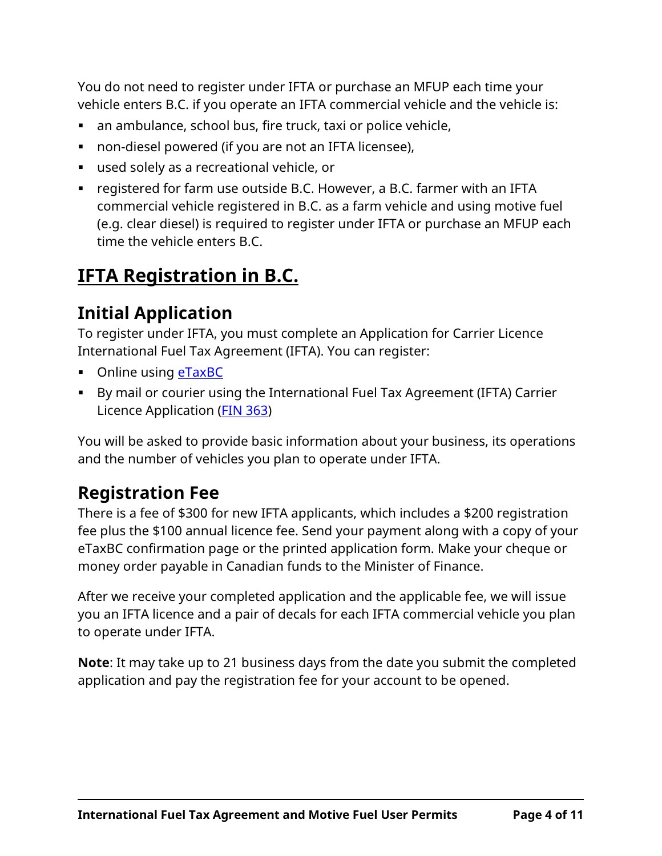You do not need to register under IFTA or purchase an MFUP each time your vehicle enters B.C. if you operate an IFTA commercial vehicle and the vehicle is:

- an ambulance, school bus, fire truck, taxi or police vehicle,
- non-diesel powered (if you are not an IFTA licensee),
- used solely as a recreational vehicle, or
- registered for farm use outside B.C. However, a B.C. farmer with an IFTA commercial vehicle registered in B.C. as a farm vehicle and using motive fuel (e.g. clear diesel) is required to register under IFTA or purchase an MFUP each time the vehicle enters B.C.

## <span id="page-3-0"></span>**IFTA Registration in B.C.**

## **Initial Application**

To register under IFTA, you must complete an Application for Carrier Licence International Fuel Tax Agreement (IFTA). You can register:

- Online using **[eTaxBC](https://www.etax.gov.bc.ca/btp/eservices/_/)**
- By mail or courier using the International Fuel Tax Agreement (IFTA) Carrier Licence Application [\(FIN 363\)](http://www2.gov.bc.ca/assets/download/AB75EC9077D44F90BB0794E11F3AA2DC)

You will be asked to provide basic information about your business, its operations and the number of vehicles you plan to operate under IFTA.

### **Registration Fee**

There is a fee of \$300 for new IFTA applicants, which includes a \$200 registration fee plus the \$100 annual licence fee. Send your payment along with a copy of your eTaxBC confirmation page or the printed application form. Make your cheque or money order payable in Canadian funds to the Minister of Finance.

After we receive your completed application and the applicable fee, we will issue you an IFTA licence and a pair of decals for each IFTA commercial vehicle you plan to operate under IFTA.

**Note**: It may take up to 21 business days from the date you submit the completed application and pay the registration fee for your account to be opened.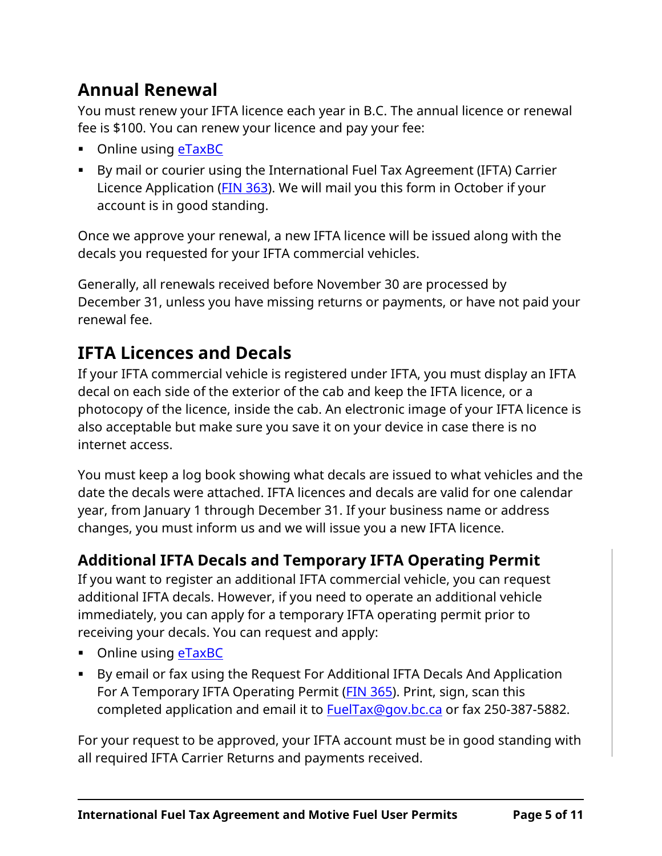## **Annual Renewal**

You must renew your IFTA licence each year in B.C. The annual licence or renewal fee is \$100. You can renew your licence and pay your fee:

- Online using [eTaxBC](https://www.etax.gov.bc.ca/btp/eservices/_/)
- By mail or courier using the International Fuel Tax Agreement (IFTA) Carrier Licence Application [\(FIN 363\)](http://www2.gov.bc.ca/assets/download/AB75EC9077D44F90BB0794E11F3AA2DC). We will mail you this form in October if your account is in good standing.

Once we approve your renewal, a new IFTA licence will be issued along with the decals you requested for your IFTA commercial vehicles.

Generally, all renewals received before November 30 are processed by December 31, unless you have missing returns or payments, or have not paid your renewal fee.

## **IFTA Licences and Decals**

If your IFTA commercial vehicle is registered under IFTA, you must display an IFTA decal on each side of the exterior of the cab and keep the IFTA licence, or a photocopy of the licence, inside the cab. An electronic image of your IFTA licence is also acceptable but make sure you save it on your device in case there is no internet access.

You must keep a log book showing what decals are issued to what vehicles and the date the decals were attached. IFTA licences and decals are valid for one calendar year, from January 1 through December 31. If your business name or address changes, you must inform us and we will issue you a new IFTA licence.

#### **Additional IFTA Decals and Temporary IFTA Operating Permit**

If you want to register an additional IFTA commercial vehicle, you can request additional IFTA decals. However, if you need to operate an additional vehicle immediately, you can apply for a temporary IFTA operating permit prior to receiving your decals. You can request and apply:

- Online using **eTaxBC**
- By email or fax using the Request For Additional IFTA Decals And Application For A Temporary IFTA Operating Permit (*FIN 365*). Print, sign, scan this completed application and email it to **FuelTax@gov.bc.ca** or fax 250-387-5882.

For your request to be approved, your IFTA account must be in good standing with all required IFTA Carrier Returns and payments received.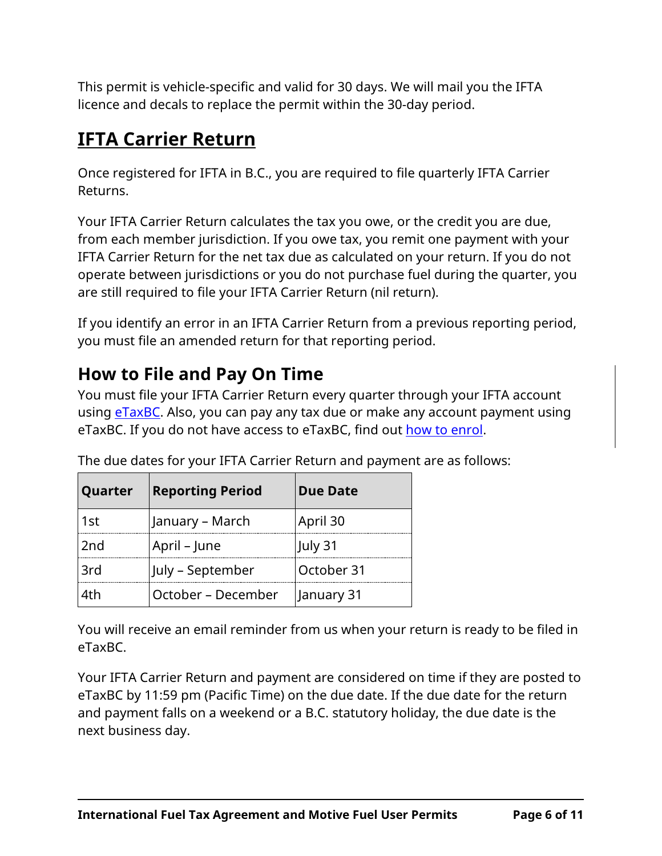This permit is vehicle-specific and valid for 30 days. We will mail you the IFTA licence and decals to replace the permit within the 30-day period.

## <span id="page-5-0"></span>**IFTA Carrier Return**

Once registered for IFTA in B.C., you are required to file quarterly IFTA Carrier Returns.

Your IFTA Carrier Return calculates the tax you owe, or the credit you are due, from each member jurisdiction. If you owe tax, you remit one payment with your IFTA Carrier Return for the net tax due as calculated on your return. If you do not operate between jurisdictions or you do not purchase fuel during the quarter, you are still required to file your IFTA Carrier Return (nil return).

If you identify an error in an IFTA Carrier Return from a previous reporting period, you must file an amended return for that reporting period.

## **How to File and Pay On Time**

You must file your IFTA Carrier Return every quarter through your IFTA account using [eTaxBC.](https://www.etax.gov.bc.ca/btp/eservices/_/) Also, you can pay any tax due or make any account payment using eTaxBC. If you do not have access to eTaxBC, find out [how to enrol.](https://www2.gov.bc.ca/gov/content?id=E437125AC6444B869C94353D1C17FFA3)

| Quarter         | <b>Reporting Period</b> | <b>Due Date</b> |  |
|-----------------|-------------------------|-----------------|--|
| 1st             | January – March         | April 30        |  |
| 2 <sub>nd</sub> | April – June            | July 31         |  |
| 3rd             | July – September        | October 31      |  |
| 4th             | October – December      | January 31      |  |

The due dates for your IFTA Carrier Return and payment are as follows:

You will receive an email reminder from us when your return is ready to be filed in eTaxBC.

Your IFTA Carrier Return and payment are considered on time if they are posted to eTaxBC by 11:59 pm (Pacific Time) on the due date. If the due date for the return and payment falls on a weekend or a B.C. statutory holiday, the due date is the next business day.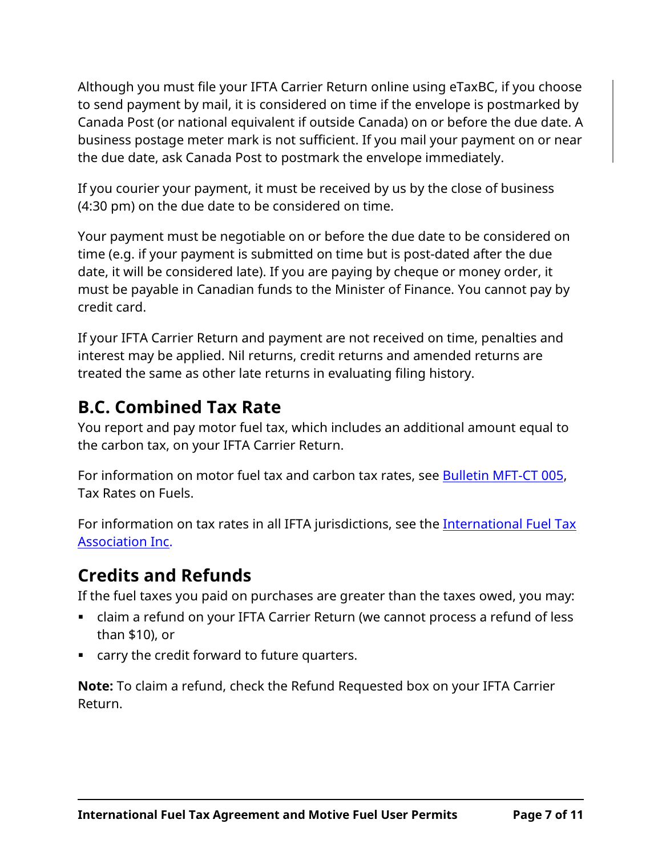Although you must file your IFTA Carrier Return online using eTaxBC, if you choose to send payment by mail, it is considered on time if the envelope is postmarked by Canada Post (or national equivalent if outside Canada) on or before the due date. A business postage meter mark is not sufficient. If you mail your payment on or near the due date, ask Canada Post to postmark the envelope immediately.

If you courier your payment, it must be received by us by the close of business (4:30 pm) on the due date to be considered on time.

Your payment must be negotiable on or before the due date to be considered on time (e.g. if your payment is submitted on time but is post-dated after the due date, it will be considered late). If you are paying by cheque or money order, it must be payable in Canadian funds to the Minister of Finance. You cannot pay by credit card.

If your IFTA Carrier Return and payment are not received on time, penalties and interest may be applied. Nil returns, credit returns and amended returns are treated the same as other late returns in evaluating filing history.

### **B.C. Combined Tax Rate**

You report and pay motor fuel tax, which includes an additional amount equal to the carbon tax, on your IFTA Carrier Return.

For information on motor fuel tax and carbon tax rates, see [Bulletin MFT-CT 005,](http://www2.gov.bc.ca/assets/download/F0C389126B1546C2BCB8432F24EA777F) Tax Rates on Fuels.

For information on tax rates in all IFTA jurisdictions, see the International Fuel Tax [Association Inc.](http://www.iftach.org/)

### **Credits and Refunds**

If the fuel taxes you paid on purchases are greater than the taxes owed, you may:

- claim a refund on your IFTA Carrier Return (we cannot process a refund of less than \$10), or
- carry the credit forward to future quarters.

**Note:** To claim a refund, check the Refund Requested box on your IFTA Carrier Return.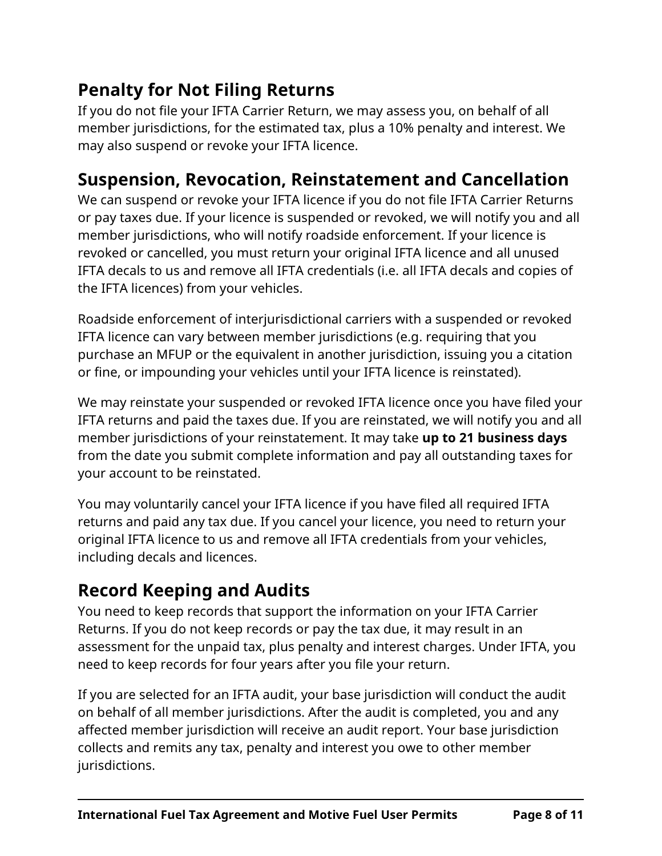## **Penalty for Not Filing Returns**

If you do not file your IFTA Carrier Return, we may assess you, on behalf of all member jurisdictions, for the estimated tax, plus a 10% penalty and interest. We may also suspend or revoke your IFTA licence.

### **Suspension, Revocation, Reinstatement and Cancellation**

We can suspend or revoke your IFTA licence if you do not file IFTA Carrier Returns or pay taxes due. If your licence is suspended or revoked, we will notify you and all member jurisdictions, who will notify roadside enforcement. If your licence is revoked or cancelled, you must return your original IFTA licence and all unused IFTA decals to us and remove all IFTA credentials (i.e. all IFTA decals and copies of the IFTA licences) from your vehicles.

Roadside enforcement of interjurisdictional carriers with a suspended or revoked IFTA licence can vary between member jurisdictions (e.g. requiring that you purchase an MFUP or the equivalent in another jurisdiction, issuing you a citation or fine, or impounding your vehicles until your IFTA licence is reinstated).

We may reinstate your suspended or revoked IFTA licence once you have filed your IFTA returns and paid the taxes due. If you are reinstated, we will notify you and all member jurisdictions of your reinstatement. It may take **up to 21 business days** from the date you submit complete information and pay all outstanding taxes for your account to be reinstated.

You may voluntarily cancel your IFTA licence if you have filed all required IFTA returns and paid any tax due. If you cancel your licence, you need to return your original IFTA licence to us and remove all IFTA credentials from your vehicles, including decals and licences.

### **Record Keeping and Audits**

You need to keep records that support the information on your IFTA Carrier Returns. If you do not keep records or pay the tax due, it may result in an assessment for the unpaid tax, plus penalty and interest charges. Under IFTA, you need to keep records for four years after you file your return.

If you are selected for an IFTA audit, your base jurisdiction will conduct the audit on behalf of all member jurisdictions. After the audit is completed, you and any affected member jurisdiction will receive an audit report. Your base jurisdiction collects and remits any tax, penalty and interest you owe to other member jurisdictions.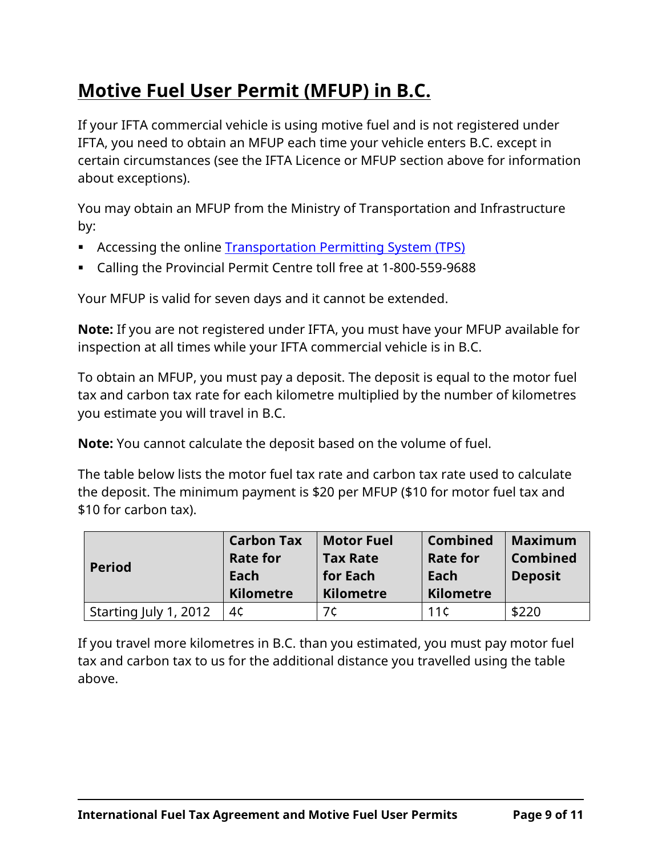## <span id="page-8-0"></span>**Motive Fuel User Permit (MFUP) in B.C.**

If your IFTA commercial vehicle is using motive fuel and is not registered under IFTA, you need to obtain an MFUP each time your vehicle enters B.C. except in certain circumstances (see the IFTA Licence or MFUP section above for information about exceptions).

You may obtain an MFUP from the Ministry of Transportation and Infrastructure by:

- **EXECCESSING the online [Transportation Permitting System \(TPS\)](http://www.th.gov.bc.ca/cvse/tps/tps_online.htm)**
- Calling the Provincial Permit Centre toll free at 1-800-559-9688

Your MFUP is valid for seven days and it cannot be extended.

**Note:** If you are not registered under IFTA, you must have your MFUP available for inspection at all times while your IFTA commercial vehicle is in B.C.

To obtain an MFUP, you must pay a deposit. The deposit is equal to the motor fuel tax and carbon tax rate for each kilometre multiplied by the number of kilometres you estimate you will travel in B.C.

**Note:** You cannot calculate the deposit based on the volume of fuel.

The table below lists the motor fuel tax rate and carbon tax rate used to calculate the deposit. The minimum payment is \$20 per MFUP (\$10 for motor fuel tax and \$10 for carbon tax).

| <b>Period</b>         | <b>Carbon Tax</b><br><b>Rate for</b><br>Each<br><b>Kilometre</b> | <b>Motor Fuel</b><br><b>Tax Rate</b><br>for Each<br><b>Kilometre</b> | <b>Combined</b><br><b>Rate for</b><br>Each<br><b>Kilometre</b> | <b>Maximum</b><br><b>Combined</b><br><b>Deposit</b> |
|-----------------------|------------------------------------------------------------------|----------------------------------------------------------------------|----------------------------------------------------------------|-----------------------------------------------------|
| Starting July 1, 2012 | 4¢                                                               | 7ċ                                                                   | 11¢                                                            | \$220                                               |

If you travel more kilometres in B.C. than you estimated, you must pay motor fuel tax and carbon tax to us for the additional distance you travelled using the table above.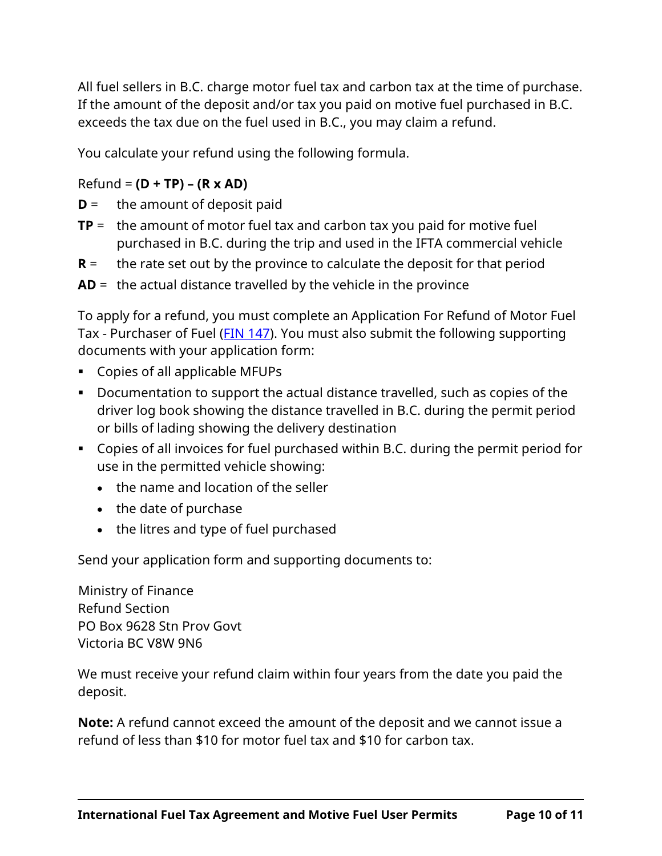All fuel sellers in B.C. charge motor fuel tax and carbon tax at the time of purchase. If the amount of the deposit and/or tax you paid on motive fuel purchased in B.C. exceeds the tax due on the fuel used in B.C., you may claim a refund.

You calculate your refund using the following formula.

Refund = **(D + TP) – (R x AD)**

**D** = the amount of deposit paid

- **TP** = the amount of motor fuel tax and carbon tax you paid for motive fuel purchased in B.C. during the trip and used in the IFTA commercial vehicle
- **R** = the rate set out by the province to calculate the deposit for that period

**AD** = the actual distance travelled by the vehicle in the province

To apply for a refund, you must complete an Application For Refund of Motor Fuel Tax - Purchaser of Fuel [\(FIN 147\)](http://www2.gov.bc.ca/assets/download/C25A623917D84F81BA2C77575702FDAE). You must also submit the following supporting documents with your application form:

- Copies of all applicable MFUPs
- Documentation to support the actual distance travelled, such as copies of the driver log book showing the distance travelled in B.C. during the permit period or bills of lading showing the delivery destination
- Copies of all invoices for fuel purchased within B.C. during the permit period for use in the permitted vehicle showing:
	- the name and location of the seller
	- the date of purchase
	- the litres and type of fuel purchased

Send your application form and supporting documents to:

Ministry of Finance Refund Section PO Box 9628 Stn Prov Govt Victoria BC V8W 9N6

We must receive your refund claim within four years from the date you paid the deposit.

**Note:** A refund cannot exceed the amount of the deposit and we cannot issue a refund of less than \$10 for motor fuel tax and \$10 for carbon tax.